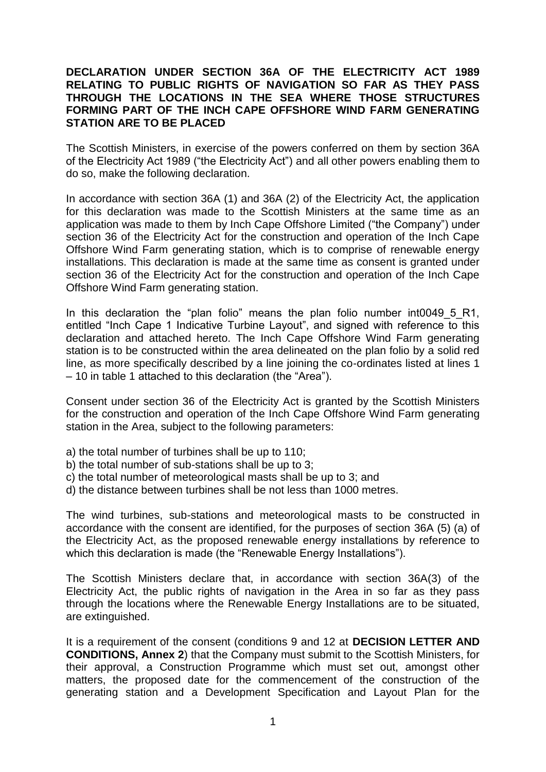## **DECLARATION UNDER SECTION 36A OF THE ELECTRICITY ACT 1989 RELATING TO PUBLIC RIGHTS OF NAVIGATION SO FAR AS THEY PASS THROUGH THE LOCATIONS IN THE SEA WHERE THOSE STRUCTURES FORMING PART OF THE INCH CAPE OFFSHORE WIND FARM GENERATING STATION ARE TO BE PLACED**

The Scottish Ministers, in exercise of the powers conferred on them by section 36A of the Electricity Act 1989 ("the Electricity Act") and all other powers enabling them to do so, make the following declaration.

In accordance with section 36A (1) and 36A (2) of the Electricity Act, the application for this declaration was made to the Scottish Ministers at the same time as an application was made to them by Inch Cape Offshore Limited ("the Company") under section 36 of the Electricity Act for the construction and operation of the Inch Cape Offshore Wind Farm generating station, which is to comprise of renewable energy installations. This declaration is made at the same time as consent is granted under section 36 of the Electricity Act for the construction and operation of the Inch Cape Offshore Wind Farm generating station.

In this declaration the "plan folio" means the plan folio number int0049\_5\_R1, entitled "Inch Cape 1 Indicative Turbine Layout", and signed with reference to this declaration and attached hereto. The Inch Cape Offshore Wind Farm generating station is to be constructed within the area delineated on the plan folio by a solid red line, as more specifically described by a line joining the co-ordinates listed at lines 1 – 10 in table 1 attached to this declaration (the "Area").

Consent under section 36 of the Electricity Act is granted by the Scottish Ministers for the construction and operation of the Inch Cape Offshore Wind Farm generating station in the Area, subject to the following parameters:

- a) the total number of turbines shall be up to 110;
- b) the total number of sub-stations shall be up to 3;
- c) the total number of meteorological masts shall be up to 3; and
- d) the distance between turbines shall be not less than 1000 metres.

The wind turbines, sub-stations and meteorological masts to be constructed in accordance with the consent are identified, for the purposes of section 36A (5) (a) of the Electricity Act, as the proposed renewable energy installations by reference to which this declaration is made (the "Renewable Energy Installations").

The Scottish Ministers declare that, in accordance with section 36A(3) of the Electricity Act, the public rights of navigation in the Area in so far as they pass through the locations where the Renewable Energy Installations are to be situated, are extinguished.

It is a requirement of the consent (conditions 9 and 12 at **DECISION LETTER AND CONDITIONS, Annex 2**) that the Company must submit to the Scottish Ministers, for their approval, a Construction Programme which must set out, amongst other matters, the proposed date for the commencement of the construction of the generating station and a Development Specification and Layout Plan for the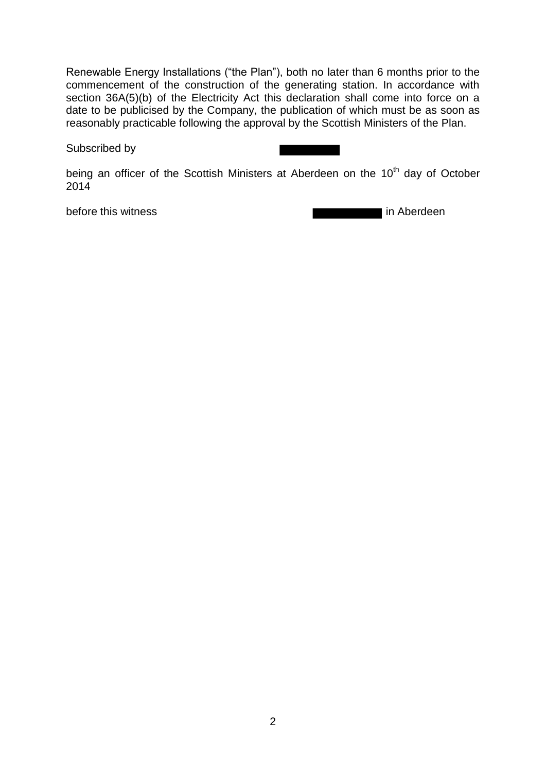Renewable Energy Installations ("the Plan"), both no later than 6 months prior to the commencement of the construction of the generating station. In accordance with section 36A(5)(b) of the Electricity Act this declaration shall come into force on a date to be publicised by the Company, the publication of which must be as soon as reasonably practicable following the approval by the Scottish Ministers of the Plan.

Subscribed by

being an officer of the Scottish Ministers at Aberdeen on the 10<sup>th</sup> day of October 2014

before this witness in Aberdeen in Aberdeen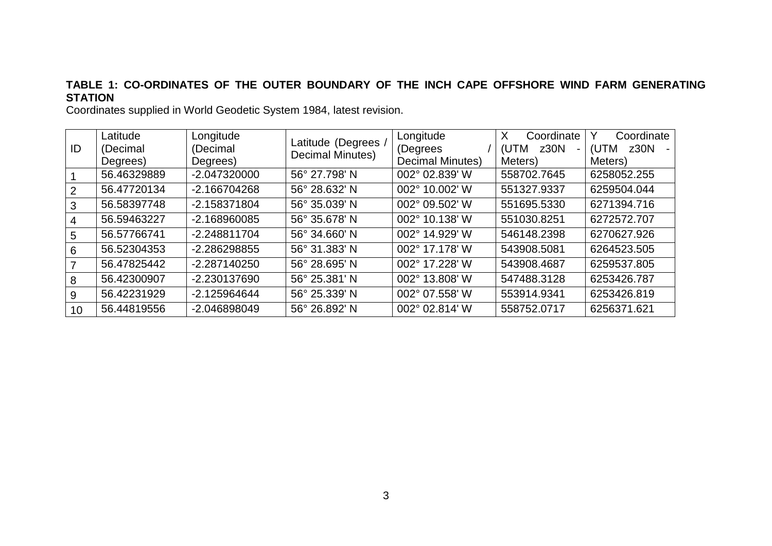## **TABLE 1: CO-ORDINATES OF THE OUTER BOUNDARY OF THE INCH CAPE OFFSHORE WIND FARM GENERATING STATION**

Coordinates supplied in World Geodetic System 1984, latest revision.

| ID | Latitude<br>(Decimal<br>Degrees) | Longitude<br>(Decimal<br>Degrees) | Latitude (Degrees /<br>Decimal Minutes) | Longitude<br>(Degrees<br><b>Decimal Minutes)</b> | Coordinate<br>X<br>z30N<br>(UTM<br>-<br>Meters) | Coordinate<br>z30N<br>(UTM<br>Meters) |
|----|----------------------------------|-----------------------------------|-----------------------------------------|--------------------------------------------------|-------------------------------------------------|---------------------------------------|
|    | 56.46329889                      | -2.047320000                      | 56° 27.798' N                           | 002° 02.839' W                                   | 558702.7645                                     | 6258052.255                           |
| 2  | 56.47720134                      | -2.166704268                      | 56° 28.632' N                           | 002° 10.002' W                                   | 551327.9337                                     | 6259504.044                           |
| 3  | 56.58397748                      | -2.158371804                      | 56° 35.039' N                           | 002° 09.502' W                                   | 551695.5330                                     | 6271394.716                           |
| 4  | 56.59463227                      | $-2.168960085$                    | 56° 35.678' N                           | 002° 10.138' W                                   | 551030.8251                                     | 6272572.707                           |
| 5. | 56.57766741                      | -2.248811704                      | 56° 34.660' N                           | 002° 14.929' W                                   | 546148.2398                                     | 6270627.926                           |
| 6  | 56.52304353                      | -2.286298855                      | 56° 31.383' N                           | 002° 17.178' W                                   | 543908.5081                                     | 6264523.505                           |
| 7  | 56.47825442                      | $-2.287140250$                    | 56° 28.695' N                           | 002° 17.228' W                                   | 543908.4687                                     | 6259537.805                           |
| 8  | 56.42300907                      | -2.230137690                      | 56° 25.381' N                           | 002° 13.808' W                                   | 547488.3128                                     | 6253426.787                           |
| 9  | 56.42231929                      | $-2.125964644$                    | 56° 25.339' N                           | 002° 07.558' W                                   | 553914.9341                                     | 6253426.819                           |
| 10 | 56.44819556                      | -2.046898049                      | 56° 26.892' N                           | 002° 02.814' W                                   | 558752.0717                                     | 6256371.621                           |